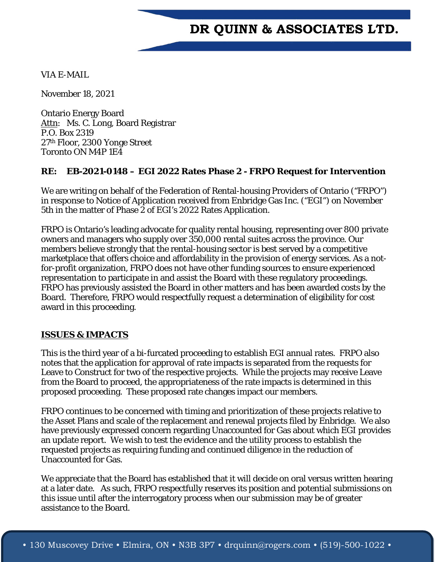## **DR QUINN & ASSOCIATES LTD.**

VIA E-MAIL

November 18, 2021

Ontario Energy Board Attn: Ms. C. Long, Board Registrar P.O. Box 2319 27th Floor, 2300 Yonge Street Toronto ON M4P 1E4

## **RE: EB-2021-0148 – EGI 2022 Rates Phase 2 - FRPO Request for Intervention**

We are writing on behalf of the Federation of Rental-housing Providers of Ontario ("FRPO") in response to Notice of Application received from Enbridge Gas Inc. ("EGI") on November 5th in the matter of Phase 2 of EGI's 2022 Rates Application.

FRPO is Ontario's leading advocate for quality rental housing, representing over 800 private owners and managers who supply over 350,000 rental suites across the province. Our members believe strongly that the rental-housing sector is best served by a competitive marketplace that offers choice and affordability in the provision of energy services. As a notfor-profit organization, FRPO does not have other funding sources to ensure experienced representation to participate in and assist the Board with these regulatory proceedings. FRPO has previously assisted the Board in other matters and has been awarded costs by the Board. Therefore, FRPO would respectfully request a determination of eligibility for cost award in this proceeding.

## **ISSUES & IMPACTS**

This is the third year of a bi-furcated proceeding to establish EGI annual rates. FRPO also notes that the application for approval of rate impacts is separated from the requests for Leave to Construct for two of the respective projects. While the projects may receive Leave from the Board to proceed, the appropriateness of the rate impacts is determined in this proposed proceeding. These proposed rate changes impact our members.

FRPO continues to be concerned with timing and prioritization of these projects relative to the Asset Plans and scale of the replacement and renewal projects filed by Enbridge. We also have previously expressed concern regarding Unaccounted for Gas about which EGI provides an update report. We wish to test the evidence and the utility process to establish the requested projects as requiring funding and continued diligence in the reduction of Unaccounted for Gas.

We appreciate that the Board has established that it will decide on oral versus written hearing at a later date. As such, FRPO respectfully reserves its position and potential submissions on this issue until after the interrogatory process when our submission may be of greater assistance to the Board.